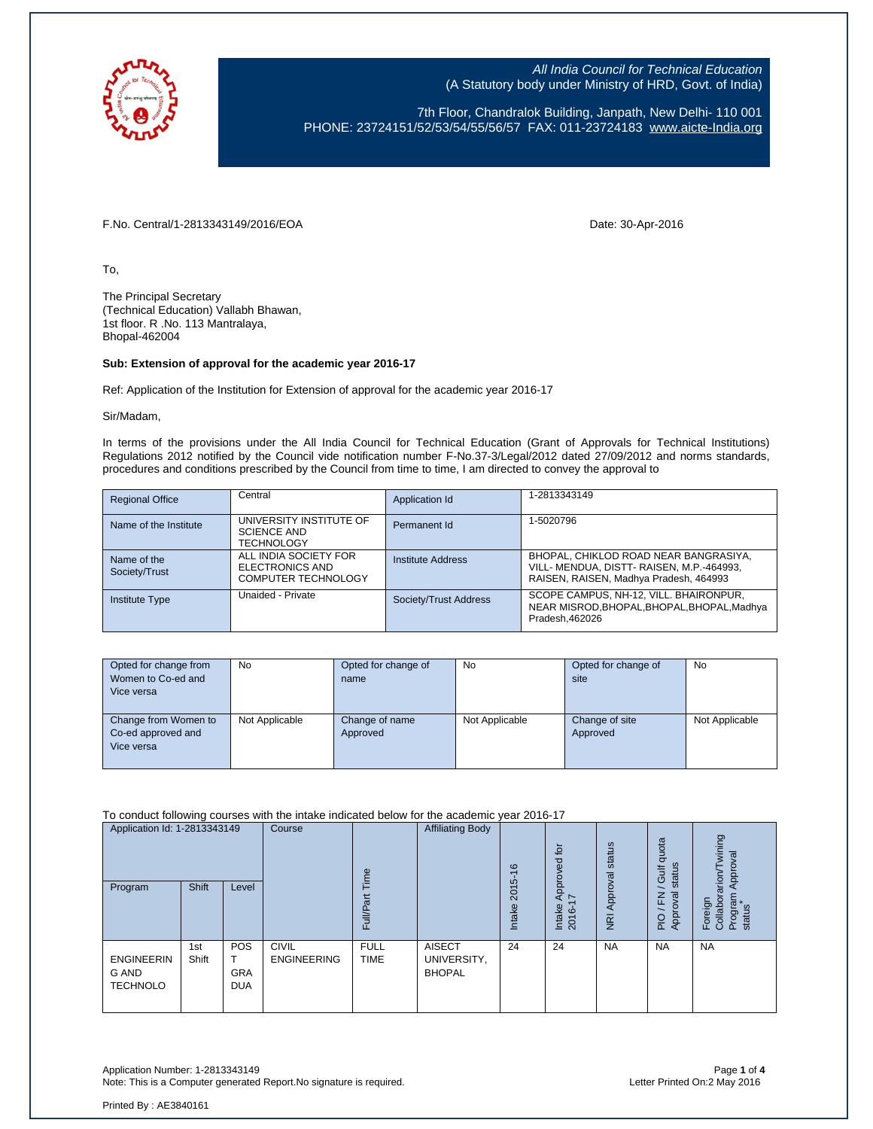

7th Floor, Chandralok Building, Janpath, New Delhi- 110 001 PHONE: 23724151/52/53/54/55/56/57 FAX: 011-23724183 [www.aicte-India.org](http://www.aicte-india.org/)

F.No. Central/1-2813343149/2016/EOA Date: 30-Apr-2016

To,

The Principal Secretary (Technical Education) Vallabh Bhawan, 1st floor. R .No. 113 Mantralaya, Bhopal-462004

#### **Sub: Extension of approval for the academic year 2016-17**

Ref: Application of the Institution for Extension of approval for the academic year 2016-17

Sir/Madam,

In terms of the provisions under the All India Council for Technical Education (Grant of Approvals for Technical Institutions) Regulations 2012 notified by the Council vide notification number F-No.37-3/Legal/2012 dated 27/09/2012 and norms standards, procedures and conditions prescribed by the Council from time to time, I am directed to convey the approval to

| <b>Regional Office</b>       | Central                                                                | Application Id        | 1-2813343149                                                                                                                 |
|------------------------------|------------------------------------------------------------------------|-----------------------|------------------------------------------------------------------------------------------------------------------------------|
| Name of the Institute        | UNIVERSITY INSTITUTE OF<br><b>SCIENCE AND</b><br><b>TECHNOLOGY</b>     | Permanent Id          | 1-5020796                                                                                                                    |
| Name of the<br>Society/Trust | ALL INDIA SOCIETY FOR<br>ELECTRONICS AND<br><b>COMPUTER TECHNOLOGY</b> | Institute Address     | BHOPAL, CHIKLOD ROAD NEAR BANGRASIYA,<br>VILL- MENDUA, DISTT- RAISEN, M.P.-464993,<br>RAISEN, RAISEN, Madhya Pradesh, 464993 |
| <b>Institute Type</b>        | Unaided - Private                                                      | Society/Trust Address | SCOPE CAMPUS, NH-12, VILL, BHAIRONPUR,<br>NEAR MISROD, BHOPAL, BHOPAL, BHOPAL, Madhya<br>Pradesh.462026                      |

| Opted for change from<br>Women to Co-ed and<br>Vice versa | No             | Opted for change of<br>name | No             | Opted for change of<br>site | No             |
|-----------------------------------------------------------|----------------|-----------------------------|----------------|-----------------------------|----------------|
| Change from Women to<br>Co-ed approved and<br>Vice versa  | Not Applicable | Change of name<br>Approved  | Not Applicable | Change of site<br>Approved  | Not Applicable |

To conduct following courses with the intake indicated below for the academic year 2016-17

| Application Id: 1-2813343149<br>Program              | Shift        | Level                           | Course                             | jme<br>$\vec{p}$<br>ull/P<br>ш | <b>Affiliating Body</b>                       | $\frac{6}{5}$<br>မ<br>201<br><b>Intake</b> | tor<br>roved<br>ā<br>⋖<br>$\overline{ }$<br>Intake<br>2016- | status<br>Approval<br>$\overline{R}$ | quota<br>status<br><b>Gulf</b><br>준<br>ଞ୍<br>App<br>$\frac{O}{P}$ | wining<br>Approval<br>arion <sup>7</sup><br>Collabor<br>Program<br>Foreign<br>status |
|------------------------------------------------------|--------------|---------------------------------|------------------------------------|--------------------------------|-----------------------------------------------|--------------------------------------------|-------------------------------------------------------------|--------------------------------------|-------------------------------------------------------------------|--------------------------------------------------------------------------------------|
| <b>ENGINEERIN</b><br><b>G AND</b><br><b>TECHNOLO</b> | 1st<br>Shift | POS<br><b>GRA</b><br><b>DUA</b> | <b>CIVIL</b><br><b>ENGINEERING</b> | <b>FULL</b><br><b>TIME</b>     | <b>AISECT</b><br>UNIVERSITY,<br><b>BHOPAL</b> | 24                                         | 24                                                          | <b>NA</b>                            | <b>NA</b>                                                         | <b>NA</b>                                                                            |

Application Number: 1-2813343149 Page **1** of **4** Note: This is a Computer generated Report.No signature is required.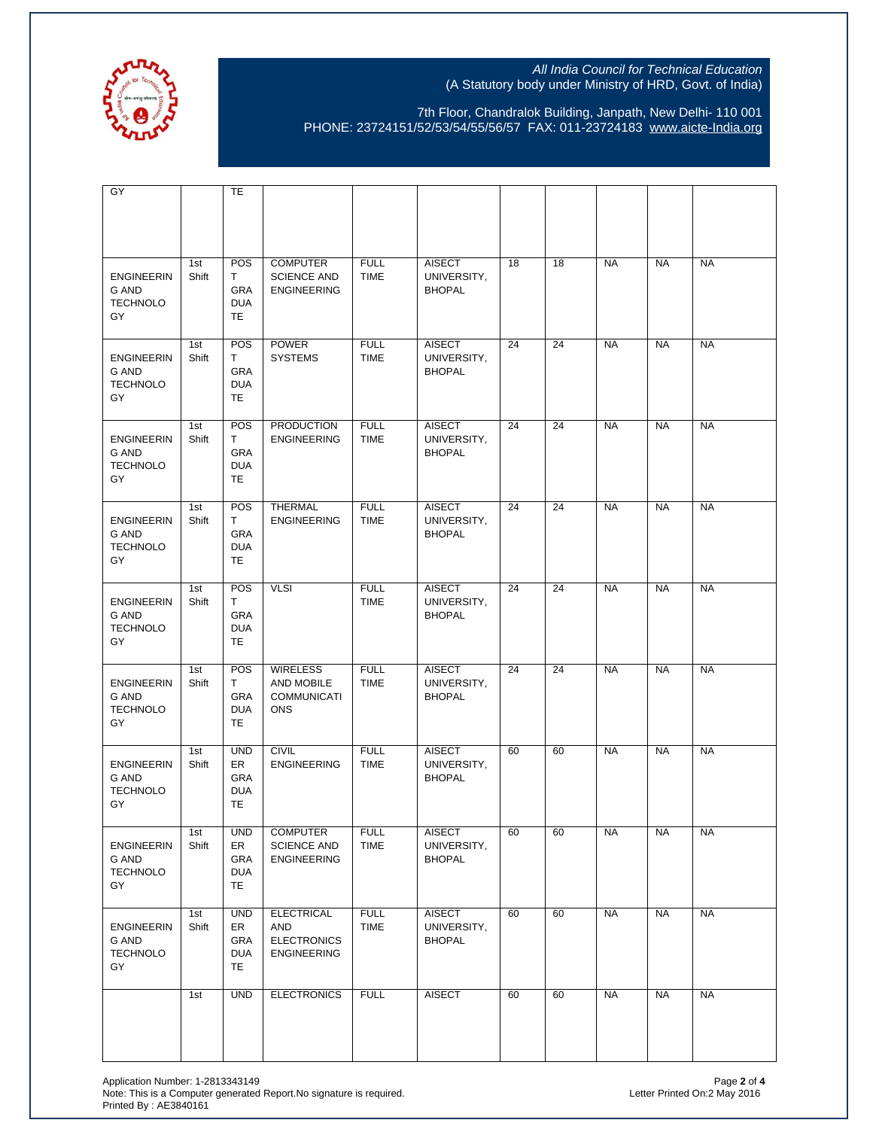

7th Floor, Chandralok Building, Janpath, New Delhi- 110 001 PHONE: 23724151/52/53/54/55/56/57 FAX: 011-23724183 [www.aicte-India.org](http://www.aicte-india.org/)

| GY                                                  |              | <b>TE</b>                                          |                                                                      |                            |                                               |    |    |           |           |           |
|-----------------------------------------------------|--------------|----------------------------------------------------|----------------------------------------------------------------------|----------------------------|-----------------------------------------------|----|----|-----------|-----------|-----------|
|                                                     |              |                                                    |                                                                      |                            |                                               |    |    |           |           |           |
| <b>ENGINEERIN</b><br>G AND<br><b>TECHNOLO</b><br>GY | 1st<br>Shift | POS<br>T.<br>GRA<br><b>DUA</b><br>TE.              | <b>COMPUTER</b><br><b>SCIENCE AND</b><br><b>ENGINEERING</b>          | <b>FULL</b><br><b>TIME</b> | <b>AISECT</b><br>UNIVERSITY,<br><b>BHOPAL</b> | 18 | 18 | <b>NA</b> | <b>NA</b> | <b>NA</b> |
| <b>ENGINEERIN</b><br>G AND<br><b>TECHNOLO</b><br>GY | 1st<br>Shift | POS<br>T.<br>GRA<br><b>DUA</b><br><b>TE</b>        | <b>POWER</b><br><b>SYSTEMS</b>                                       | <b>FULL</b><br><b>TIME</b> | <b>AISECT</b><br>UNIVERSITY,<br><b>BHOPAL</b> | 24 | 24 | <b>NA</b> | <b>NA</b> | <b>NA</b> |
| <b>ENGINEERIN</b><br>G AND<br><b>TECHNOLO</b><br>GY | 1st<br>Shift | POS<br>T.<br>GRA<br><b>DUA</b><br>TE               | <b>PRODUCTION</b><br><b>ENGINEERING</b>                              | <b>FULL</b><br><b>TIME</b> | <b>AISECT</b><br>UNIVERSITY,<br><b>BHOPAL</b> | 24 | 24 | <b>NA</b> | <b>NA</b> | <b>NA</b> |
| <b>ENGINEERIN</b><br>G AND<br><b>TECHNOLO</b><br>GY | 1st<br>Shift | POS<br>T<br>GRA<br><b>DUA</b><br><b>TE</b>         | <b>THERMAL</b><br><b>ENGINEERING</b>                                 | <b>FULL</b><br><b>TIME</b> | <b>AISECT</b><br>UNIVERSITY,<br><b>BHOPAL</b> | 24 | 24 | <b>NA</b> | <b>NA</b> | <b>NA</b> |
| <b>ENGINEERIN</b><br>G AND<br><b>TECHNOLO</b><br>GY | 1st<br>Shift | POS<br>T.<br>GRA<br><b>DUA</b><br>TE.              | <b>VLSI</b>                                                          | <b>FULL</b><br><b>TIME</b> | <b>AISECT</b><br>UNIVERSITY,<br><b>BHOPAL</b> | 24 | 24 | <b>NA</b> | <b>NA</b> | <b>NA</b> |
| <b>ENGINEERIN</b><br>G AND<br><b>TECHNOLO</b><br>GY | 1st<br>Shift | POS<br>T.<br>GRA<br><b>DUA</b><br><b>TE</b>        | <b>WIRELESS</b><br>AND MOBILE<br><b>COMMUNICATI</b><br><b>ONS</b>    | <b>FULL</b><br><b>TIME</b> | <b>AISECT</b><br>UNIVERSITY,<br><b>BHOPAL</b> | 24 | 24 | <b>NA</b> | <b>NA</b> | <b>NA</b> |
| <b>ENGINEERIN</b><br>G AND<br><b>TECHNOLO</b><br>GY | 1st<br>Shift | <b>UND</b><br>ER<br>GRA<br><b>DUA</b><br><b>TE</b> | <b>CIVIL</b><br><b>ENGINEERING</b>                                   | <b>FULL</b><br><b>TIME</b> | <b>AISECT</b><br>UNIVERSITY,<br><b>BHOPAL</b> | 60 | 60 | <b>NA</b> | <b>NA</b> | <b>NA</b> |
| <b>ENGINEERIN</b><br>G AND<br><b>TECHNOLO</b><br>GY | 1st<br>Shift | <b>UND</b><br>ER<br>GRA<br><b>DUA</b><br>TE.       | <b>COMPUTER</b><br><b>SCIENCE AND</b><br><b>ENGINEERING</b>          | <b>FULL</b><br><b>TIME</b> | <b>AISECT</b><br>UNIVERSITY,<br><b>BHOPAL</b> | 60 | 60 | <b>NA</b> | <b>NA</b> | <b>NA</b> |
| <b>ENGINEERIN</b><br>G AND<br><b>TECHNOLO</b><br>GY | 1st<br>Shift | <b>UND</b><br>ER<br>GRA<br><b>DUA</b><br>TE.       | <b>ELECTRICAL</b><br>AND<br><b>ELECTRONICS</b><br><b>ENGINEERING</b> | <b>FULL</b><br><b>TIME</b> | <b>AISECT</b><br>UNIVERSITY,<br><b>BHOPAL</b> | 60 | 60 | <b>NA</b> | <b>NA</b> | <b>NA</b> |
|                                                     | 1st          | <b>UND</b>                                         | <b>ELECTRONICS</b>                                                   | <b>FULL</b>                | <b>AISECT</b>                                 | 60 | 60 | <b>NA</b> | <b>NA</b> | <b>NA</b> |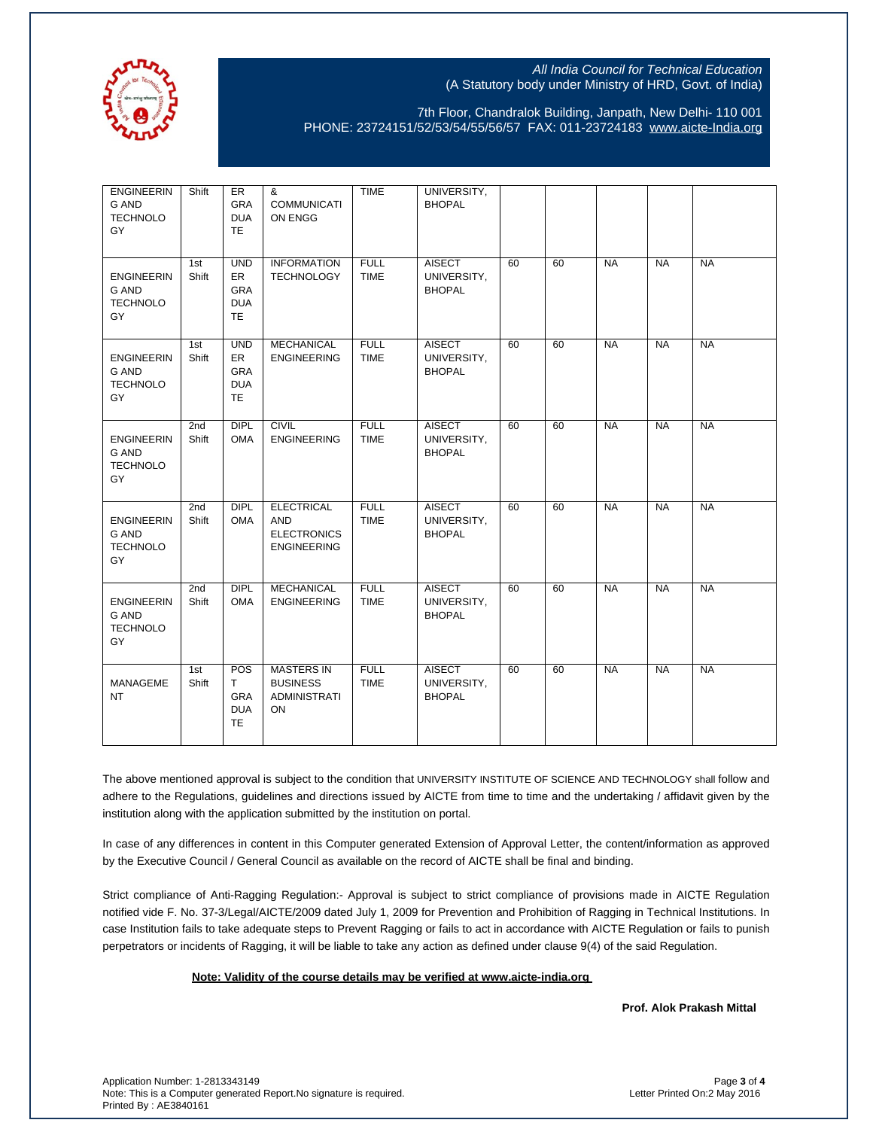

7th Floor, Chandralok Building, Janpath, New Delhi- 110 001 PHONE: 23724151/52/53/54/55/56/57 FAX: 011-23724183 [www.aicte-India.org](http://www.aicte-india.org/)

| <b>ENGINEERIN</b><br>G AND<br><b>TECHNOLO</b><br>GY | Shift                    | ER<br>GRA<br><b>DUA</b><br><b>TE</b>                       | &<br><b>COMMUNICATI</b><br>ON ENGG                                          | <b>TIME</b>                | UNIVERSITY,<br><b>BHOPAL</b>                  |    |    |           |           |           |
|-----------------------------------------------------|--------------------------|------------------------------------------------------------|-----------------------------------------------------------------------------|----------------------------|-----------------------------------------------|----|----|-----------|-----------|-----------|
| <b>ENGINEERIN</b><br>G AND<br><b>TECHNOLO</b><br>GY | 1st<br>Shift             | <b>UND</b><br>ER<br>GRA<br><b>DUA</b><br><b>TE</b>         | <b>INFORMATION</b><br><b>TECHNOLOGY</b>                                     | <b>FULL</b><br><b>TIME</b> | <b>AISECT</b><br>UNIVERSITY,<br><b>BHOPAL</b> | 60 | 60 | <b>NA</b> | <b>NA</b> | <b>NA</b> |
| <b>ENGINEERIN</b><br>G AND<br><b>TECHNOLO</b><br>GY | 1st<br>Shift             | <b>UND</b><br>ER.<br><b>GRA</b><br><b>DUA</b><br><b>TE</b> | <b>MECHANICAL</b><br><b>ENGINEERING</b>                                     | <b>FULL</b><br><b>TIME</b> | <b>AISECT</b><br>UNIVERSITY,<br><b>BHOPAL</b> | 60 | 60 | <b>NA</b> | <b>NA</b> | <b>NA</b> |
| <b>ENGINEERIN</b><br>G AND<br><b>TECHNOLO</b><br>GY | 2nd<br>Shift             | DIPL<br><b>OMA</b>                                         | <b>CIVIL</b><br><b>ENGINEERING</b>                                          | <b>FULL</b><br><b>TIME</b> | <b>AISECT</b><br>UNIVERSITY,<br><b>BHOPAL</b> | 60 | 60 | <b>NA</b> | <b>NA</b> | <b>NA</b> |
| <b>ENGINEERIN</b><br>G AND<br><b>TECHNOLO</b><br>GY | 2 <sub>nd</sub><br>Shift | <b>DIPL</b><br><b>OMA</b>                                  | <b>ELECTRICAL</b><br><b>AND</b><br><b>ELECTRONICS</b><br><b>ENGINEERING</b> | <b>FULL</b><br><b>TIME</b> | <b>AISECT</b><br>UNIVERSITY,<br><b>BHOPAL</b> | 60 | 60 | <b>NA</b> | <b>NA</b> | <b>NA</b> |
| <b>ENGINEERIN</b><br>G AND<br><b>TECHNOLO</b><br>GY | 2nd<br>Shift             | <b>DIPL</b><br><b>OMA</b>                                  | <b>MECHANICAL</b><br><b>ENGINEERING</b>                                     | <b>FULL</b><br><b>TIME</b> | <b>AISECT</b><br>UNIVERSITY,<br><b>BHOPAL</b> | 60 | 60 | <b>NA</b> | <b>NA</b> | <b>NA</b> |
| MANAGEME<br>NT.                                     | 1st<br>Shift             | POS<br>T.<br><b>GRA</b><br><b>DUA</b><br><b>TE</b>         | <b>MASTERS IN</b><br><b>BUSINESS</b><br><b>ADMINISTRATI</b><br>ON           | <b>FULL</b><br><b>TIME</b> | <b>AISECT</b><br>UNIVERSITY,<br><b>BHOPAL</b> | 60 | 60 | <b>NA</b> | <b>NA</b> | <b>NA</b> |

The above mentioned approval is subject to the condition that UNIVERSITY INSTITUTE OF SCIENCE AND TECHNOLOGY shall follow and adhere to the Regulations, guidelines and directions issued by AICTE from time to time and the undertaking / affidavit given by the institution along with the application submitted by the institution on portal.

In case of any differences in content in this Computer generated Extension of Approval Letter, the content/information as approved by the Executive Council / General Council as available on the record of AICTE shall be final and binding.

Strict compliance of Anti-Ragging Regulation:- Approval is subject to strict compliance of provisions made in AICTE Regulation notified vide F. No. 37-3/Legal/AICTE/2009 dated July 1, 2009 for Prevention and Prohibition of Ragging in Technical Institutions. In case Institution fails to take adequate steps to Prevent Ragging or fails to act in accordance with AICTE Regulation or fails to punish perpetrators or incidents of Ragging, it will be liable to take any action as defined under clause 9(4) of the said Regulation.

 **Note: Validity of the course details may be verified at www.aicte-india.org** 

**Prof. Alok Prakash Mittal**